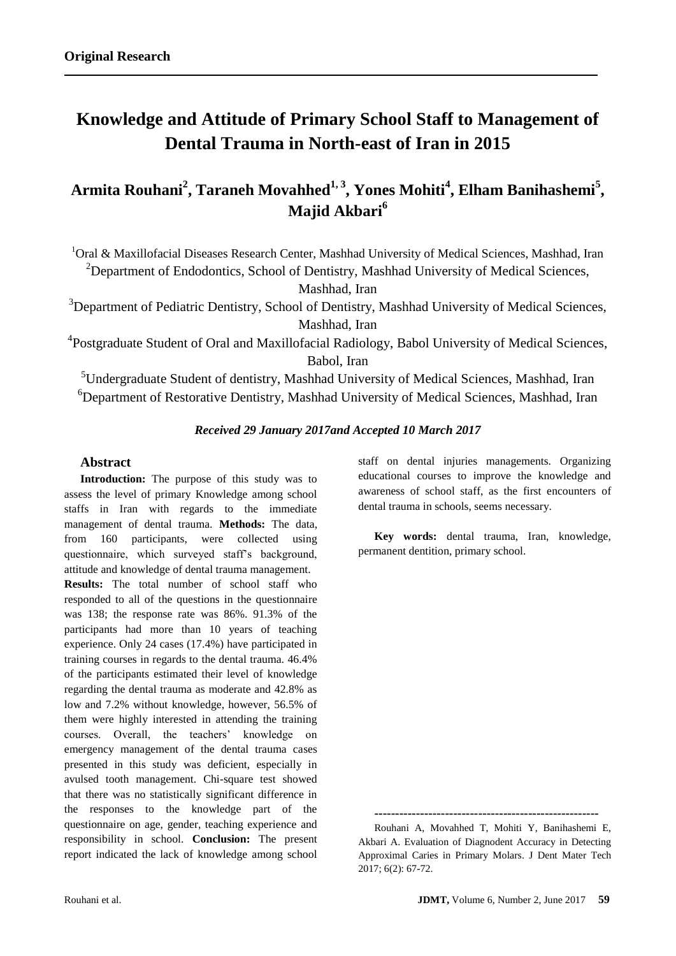# **Knowledge and Attitude of Primary School Staff to Management of Dental Trauma in North-east of Iran in 2015**

## **Armita Rouhani<sup>2</sup> , Taraneh Movahhed1, 3, Yones Mohiti<sup>4</sup> , Elham Banihashemi<sup>5</sup> , Majid Akbari<sup>6</sup>**

<sup>1</sup>Oral & Maxillofacial Diseases Research Center, Mashhad University of Medical Sciences, Mashhad, Iran <sup>2</sup>Department of Endodontics, School of Dentistry, Mashhad University of Medical Sciences,

Mashhad, Iran

<sup>3</sup>Department of Pediatric Dentistry, School of Dentistry, Mashhad University of Medical Sciences, Mashhad, Iran

<sup>4</sup>Postgraduate Student of Oral and Maxillofacial Radiology, Babol University of Medical Sciences, Babol, Iran

<sup>5</sup>Undergraduate Student of dentistry, Mashhad University of Medical Sciences, Mashhad, Iran <sup>6</sup>Department of Restorative Dentistry, Mashhad University of Medical Sciences, Mashhad, Iran

## *Received 29 January 2017and Accepted 10 March 2017*

## **Abstract**

**Introduction:** The purpose of this study was to assess the level of primary Knowledge among school staffs in Iran with regards to the immediate management of dental trauma. **Methods:** The data, from 160 participants, were collected using questionnaire, which surveyed staff's background, attitude and knowledge of dental trauma management.

**Results:** The total number of school staff who responded to all of the questions in the questionnaire was 138; the response rate was 86%. 91.3% of the participants had more than 10 years of teaching experience. Only 24 cases (17.4%) have participated in training courses in regards to the dental trauma. 46.4% of the participants estimated their level of knowledge regarding the dental trauma as moderate and 42.8% as low and 7.2% without knowledge, however, 56.5% of them were highly interested in attending the training courses. Overall, the teachers' knowledge on emergency management of the dental trauma cases presented in this study was deficient, especially in avulsed tooth management. Chi-square test showed that there was no statistically significant difference in the responses to the knowledge part of the questionnaire on age, gender, teaching experience and responsibility in school. **Conclusion:** The present report indicated the lack of knowledge among school

**------------------------------------------------------**

staff on dental injuries managements. Organizing educational courses to improve the knowledge and awareness of school staff, as the first encounters of

**Key words:** dental trauma, Iran, knowledge,

dental trauma in schools, seems necessary.

permanent dentition, primary school.

Rouhani A, Movahhed T, Mohiti Y, Banihashemi E, Akbari A. Evaluation of Diagnodent Accuracy in Detecting Approximal Caries in Primary Molars. J Dent Mater Tech 2017; 6(2): 67-72.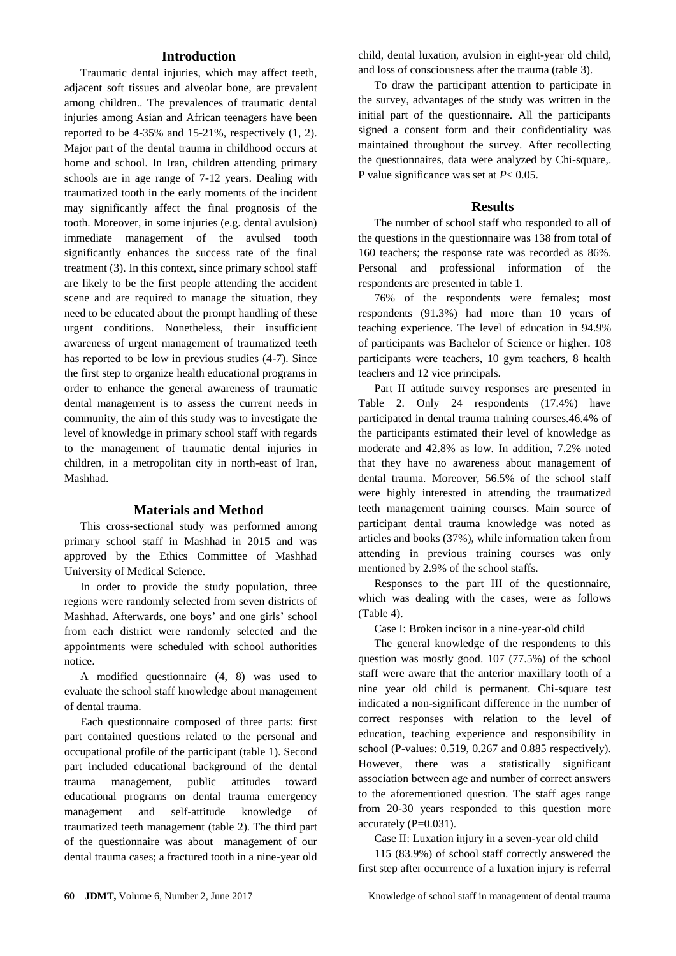## **Introduction**

Traumatic dental injuries, which may affect teeth, adjacent soft tissues and alveolar bone, are prevalent among children.. The prevalences of traumatic dental injuries among Asian and African teenagers have been reported to be 4-35% and 15-21%, respectively (1, 2). Major part of the dental trauma in childhood occurs at home and school. In Iran, children attending primary schools are in age range of 7-12 years. Dealing with traumatized tooth in the early moments of the incident may significantly affect the final prognosis of the tooth. Moreover, in some injuries (e.g. dental avulsion) immediate management of the avulsed tooth significantly enhances the success rate of the final treatment (3). In this context, since primary school staff are likely to be the first people attending the accident scene and are required to manage the situation, they need to be educated about the prompt handling of these urgent conditions. Nonetheless, their insufficient awareness of urgent management of traumatized teeth has reported to be low in previous studies (4-7). Since the first step to organize health educational programs in order to enhance the general awareness of traumatic dental management is to assess the current needs in community, the aim of this study was to investigate the level of knowledge in primary school staff with regards to the management of traumatic dental injuries in children, in a metropolitan city in north-east of Iran, Mashhad.

## **Materials and Method**

This cross-sectional study was performed among primary school staff in Mashhad in 2015 and was approved by the Ethics Committee of Mashhad University of Medical Science.

In order to provide the study population, three regions were randomly selected from seven districts of Mashhad. Afterwards, one boys' and one girls' school from each district were randomly selected and the appointments were scheduled with school authorities notice.

A modified questionnaire (4, 8) was used to evaluate the school staff knowledge about management of dental trauma.

Each questionnaire composed of three parts: first part contained questions related to the personal and occupational profile of the participant (table 1). Second part included educational background of the dental trauma management, public attitudes toward educational programs on dental trauma emergency management and self-attitude knowledge of traumatized teeth management (table 2). The third part of the questionnaire was about management of our dental trauma cases; a fractured tooth in a nine-year old child, dental luxation, avulsion in eight-year old child, and loss of consciousness after the trauma (table 3).

To draw the participant attention to participate in the survey, advantages of the study was written in the initial part of the questionnaire. All the participants signed a consent form and their confidentiality was maintained throughout the survey. After recollecting the questionnaires, data were analyzed by Chi-square,. P value significance was set at *P*< 0.05.

#### **Results**

The number of school staff who responded to all of the questions in the questionnaire was 138 from total of 160 teachers; the response rate was recorded as 86%. Personal and professional information of the respondents are presented in table 1.

76% of the respondents were females; most respondents (91.3%) had more than 10 years of teaching experience. The level of education in 94.9% of participants was Bachelor of Science or higher. 108 participants were teachers, 10 gym teachers, 8 health teachers and 12 vice principals.

Part II attitude survey responses are presented in Table 2. Only 24 respondents (17.4%) have participated in dental trauma training courses.46.4% of the participants estimated their level of knowledge as moderate and 42.8% as low. In addition, 7.2% noted that they have no awareness about management of dental trauma. Moreover, 56.5% of the school staff were highly interested in attending the traumatized teeth management training courses. Main source of participant dental trauma knowledge was noted as articles and books (37%), while information taken from attending in previous training courses was only mentioned by 2.9% of the school staffs.

Responses to the part III of the questionnaire, which was dealing with the cases, were as follows (Table 4).

Case I: Broken incisor in a nine-year-old child

The general knowledge of the respondents to this question was mostly good. 107 (77.5%) of the school staff were aware that the anterior maxillary tooth of a nine year old child is permanent. Chi-square test indicated a non-significant difference in the number of correct responses with relation to the level of education, teaching experience and responsibility in school (P-values: 0.519, 0.267 and 0.885 respectively). However, there was a statistically significant association between age and number of correct answers to the aforementioned question. The staff ages range from 20-30 years responded to this question more accurately (P=0.031).

Case II: Luxation injury in a seven-year old child

115 (83.9%) of school staff correctly answered the first step after occurrence of a luxation injury is referral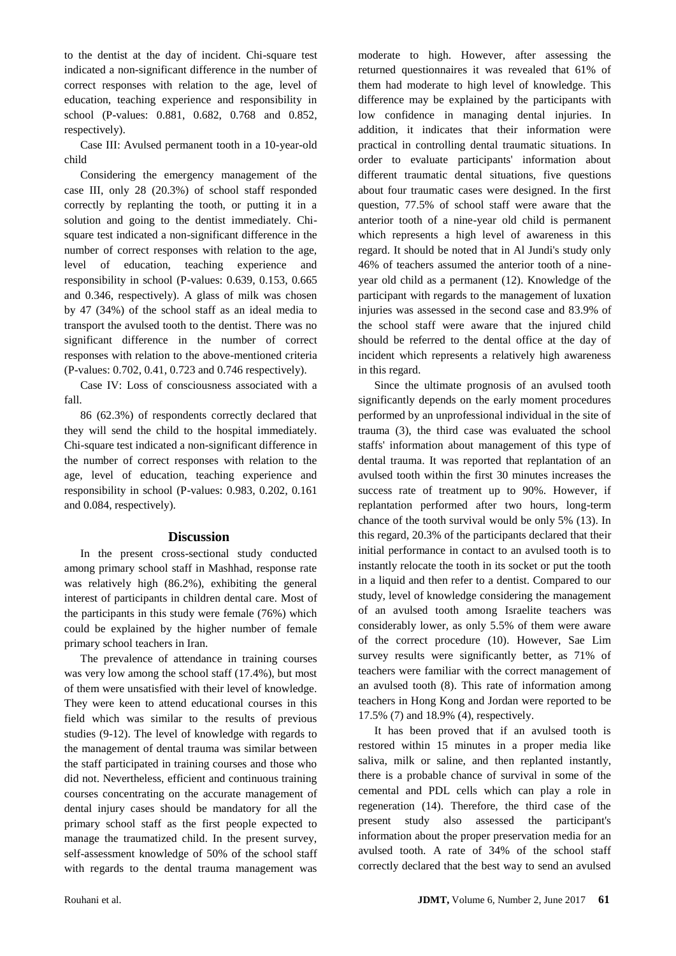to the dentist at the day of incident. Chi-square test indicated a non-significant difference in the number of correct responses with relation to the age, level of education, teaching experience and responsibility in school (P-values: 0.881, 0.682, 0.768 and 0.852, respectively).

Case III: Avulsed permanent tooth in a 10-year-old child

Considering the emergency management of the case III, only 28 (20.3%) of school staff responded correctly by replanting the tooth, or putting it in a solution and going to the dentist immediately. Chisquare test indicated a non-significant difference in the number of correct responses with relation to the age, level of education, teaching experience and responsibility in school (P-values: 0.639, 0.153, 0.665 and 0.346, respectively). A glass of milk was chosen by 47 (34%) of the school staff as an ideal media to transport the avulsed tooth to the dentist. There was no significant difference in the number of correct responses with relation to the above-mentioned criteria (P-values: 0.702, 0.41, 0.723 and 0.746 respectively).

Case IV: Loss of consciousness associated with a fall.

86 (62.3%) of respondents correctly declared that they will send the child to the hospital immediately. Chi-square test indicated a non-significant difference in the number of correct responses with relation to the age, level of education, teaching experience and responsibility in school (P-values: 0.983, 0.202, 0.161 and 0.084, respectively).

#### **Discussion**

In the present cross-sectional study conducted among primary school staff in Mashhad, response rate was relatively high (86.2%), exhibiting the general interest of participants in children dental care. Most of the participants in this study were female (76%) which could be explained by the higher number of female primary school teachers in Iran.

The prevalence of attendance in training courses was very low among the school staff (17.4%), but most of them were unsatisfied with their level of knowledge. They were keen to attend educational courses in this field which was similar to the results of previous studies (9-12). The level of knowledge with regards to the management of dental trauma was similar between the staff participated in training courses and those who did not. Nevertheless, efficient and continuous training courses concentrating on the accurate management of dental injury cases should be mandatory for all the primary school staff as the first people expected to manage the traumatized child. In the present survey, self-assessment knowledge of 50% of the school staff with regards to the dental trauma management was

moderate to high. However, after assessing the returned questionnaires it was revealed that 61% of them had moderate to high level of knowledge. This difference may be explained by the participants with low confidence in managing dental injuries. In addition, it indicates that their information were practical in controlling dental traumatic situations. In order to evaluate participants' information about different traumatic dental situations, five questions about four traumatic cases were designed. In the first question, 77.5% of school staff were aware that the anterior tooth of a nine-year old child is permanent which represents a high level of awareness in this regard. It should be noted that in Al Jundi's study only 46% of teachers assumed the anterior tooth of a nineyear old child as a permanent (12). Knowledge of the participant with regards to the management of luxation injuries was assessed in the second case and 83.9% of the school staff were aware that the injured child should be referred to the dental office at the day of incident which represents a relatively high awareness in this regard.

Since the ultimate prognosis of an avulsed tooth significantly depends on the early moment procedures performed by an unprofessional individual in the site of trauma (3), the third case was evaluated the school staffs' information about management of this type of dental trauma. It was reported that replantation of an avulsed tooth within the first 30 minutes increases the success rate of treatment up to 90%. However, if replantation performed after two hours, long-term chance of the tooth survival would be only 5% (13). In this regard, 20.3% of the participants declared that their initial performance in contact to an avulsed tooth is to instantly relocate the tooth in its socket or put the tooth in a liquid and then refer to a dentist. Compared to our study, level of knowledge considering the management of an avulsed tooth among Israelite teachers was considerably lower, as only 5.5% of them were aware of the correct procedure (10). However, Sae Lim survey results were significantly better, as 71% of teachers were familiar with the correct management of an avulsed tooth (8). This rate of information among teachers in Hong Kong and Jordan were reported to be 17.5% (7) and 18.9% (4), respectively.

It has been proved that if an avulsed tooth is restored within 15 minutes in a proper media like saliva, milk or saline, and then replanted instantly, there is a probable chance of survival in some of the cemental and PDL cells which can play a role in regeneration (14). Therefore, the third case of the present study also assessed the participant's information about the proper preservation media for an avulsed tooth. A rate of 34% of the school staff correctly declared that the best way to send an avulsed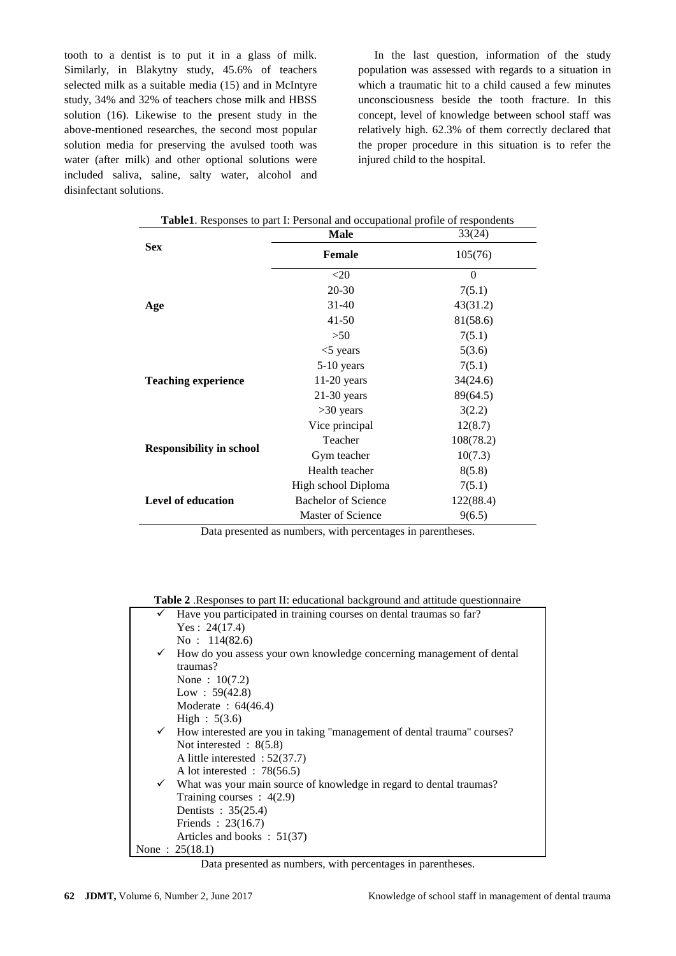tooth to a dentist is to put it in a glass of milk. Similarly, in Blakytny study, 45.6% of teachers selected milk as a suitable media (15) and in McIntyre study, 34% and 32% of teachers chose milk and HBSS solution (16). Likewise to the present study in the above-mentioned researches, the second most popular solution media for preserving the avulsed tooth was water (after milk) and other optional solutions were included saliva, saline, salty water, alcohol and disinfectant solutions.

In the last question, information of the study population was assessed with regards to a situation in which a traumatic hit to a child caused a few minutes unconsciousness beside the tooth fracture. In this concept, level of knowledge between school staff was relatively high. 62.3% of them correctly declared that the proper procedure in this situation is to refer the injured child to the hospital.

|                                 | <b>Male</b>                | 33(24)    |
|---------------------------------|----------------------------|-----------|
| <b>Sex</b>                      | <b>Female</b>              | 105(76)   |
|                                 | $<$ 20                     | $\theta$  |
|                                 | $20 - 30$                  | 7(5.1)    |
| Age                             | $31 - 40$                  | 43(31.2)  |
|                                 | $41 - 50$                  | 81(58.6)  |
|                                 | >50                        | 7(5.1)    |
|                                 | $<$ 5 years                | 5(3.6)    |
|                                 | 5-10 years                 | 7(5.1)    |
| <b>Teaching experience</b>      | $11-20$ years              | 34(24.6)  |
|                                 | $21-30$ years              | 89(64.5)  |
|                                 | $>30$ years                | 3(2.2)    |
|                                 | Vice principal             | 12(8.7)   |
|                                 | Teacher                    | 108(78.2) |
| <b>Responsibility in school</b> | Gym teacher                | 10(7.3)   |
|                                 | Health teacher             | 8(5.8)    |
|                                 | High school Diploma        | 7(5.1)    |
| <b>Level of education</b>       | <b>Bachelor of Science</b> | 122(88.4) |
|                                 | Master of Science          | 9(6.5)    |

Data presented as numbers, with percentages in parentheses.

**Table 2** .Responses to part II: educational background and attitude questionnaire

| $\checkmark$ Have you participated in training courses on dental traumas so far?     |  |  |
|--------------------------------------------------------------------------------------|--|--|
| Yes: $24(17.4)$                                                                      |  |  |
| No: $114(82.6)$                                                                      |  |  |
| $\checkmark$ How do you assess your own knowledge concerning management of dental    |  |  |
| traumas?                                                                             |  |  |
| None: $10(7.2)$                                                                      |  |  |
| Low : $59(42.8)$                                                                     |  |  |
| Moderate: $64(46.4)$                                                                 |  |  |
| High : 5(3.6)                                                                        |  |  |
| $\checkmark$ How interested are you in taking "management of dental trauma" courses? |  |  |
| Not interested : $8(5.8)$                                                            |  |  |
| A little interested : $52(37.7)$                                                     |  |  |
| A lot interested : $78(56.5)$                                                        |  |  |
| $\checkmark$ What was your main source of knowledge in regard to dental traumas?     |  |  |
| Training courses : $4(2.9)$                                                          |  |  |
| Dentists : 35(25.4)                                                                  |  |  |
| Friends : $23(16.7)$                                                                 |  |  |
| Articles and books : $51(37)$                                                        |  |  |
| None: $25(18.1)$                                                                     |  |  |

Data presented as numbers, with percentages in parentheses.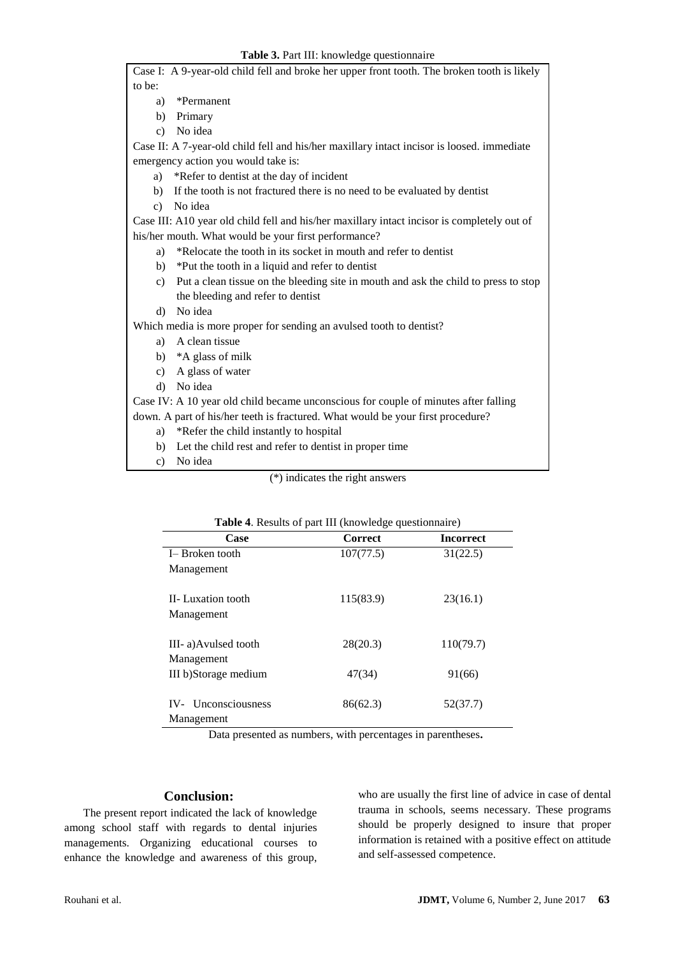|                                                                                            | Case I: A 9-year-old child fell and broke her upper front tooth. The broken tooth is likely |  |  |  |
|--------------------------------------------------------------------------------------------|---------------------------------------------------------------------------------------------|--|--|--|
| to be:                                                                                     |                                                                                             |  |  |  |
| a)                                                                                         | *Permanent                                                                                  |  |  |  |
| b)                                                                                         | Primary                                                                                     |  |  |  |
|                                                                                            | c) No idea                                                                                  |  |  |  |
| Case II: A 7-year-old child fell and his/her maxillary intact incisor is loosed. immediate |                                                                                             |  |  |  |
| emergency action you would take is:                                                        |                                                                                             |  |  |  |
| a)                                                                                         | *Refer to dentist at the day of incident                                                    |  |  |  |
| b)                                                                                         | If the tooth is not fractured there is no need to be evaluated by dentist                   |  |  |  |
| c)                                                                                         | No idea                                                                                     |  |  |  |
|                                                                                            | Case III: A10 year old child fell and his/her maxillary intact incisor is completely out of |  |  |  |
| his/her mouth. What would be your first performance?                                       |                                                                                             |  |  |  |
| a)                                                                                         | *Relocate the tooth in its socket in mouth and refer to dentist                             |  |  |  |
| b)                                                                                         | *Put the tooth in a liquid and refer to dentist                                             |  |  |  |
| c)                                                                                         | Put a clean tissue on the bleeding site in mouth and ask the child to press to stop         |  |  |  |
|                                                                                            | the bleeding and refer to dentist                                                           |  |  |  |
| $\rm d$                                                                                    | No idea                                                                                     |  |  |  |
| Which media is more proper for sending an avulsed tooth to dentist?                        |                                                                                             |  |  |  |
|                                                                                            | a) A clean tissue                                                                           |  |  |  |
|                                                                                            | b) *A glass of milk                                                                         |  |  |  |
| c)                                                                                         | A glass of water                                                                            |  |  |  |
| $\mathbf{d}$                                                                               | No idea                                                                                     |  |  |  |
|                                                                                            | Case IV: A 10 year old child became unconscious for couple of minutes after falling         |  |  |  |
| down. A part of his/her teeth is fractured. What would be your first procedure?            |                                                                                             |  |  |  |
|                                                                                            | a) *Refer the child instantly to hospital                                                   |  |  |  |
| b)                                                                                         | Let the child rest and refer to dentist in proper time                                      |  |  |  |
| c)                                                                                         | No idea                                                                                     |  |  |  |
| (*) indicates the right answers                                                            |                                                                                             |  |  |  |

| <b>Table 4.</b> Results of part III (knowledge questionnaire) |                |                  |  |
|---------------------------------------------------------------|----------------|------------------|--|
| Case                                                          | <b>Correct</b> | <b>Incorrect</b> |  |
| I-Broken tooth                                                | 107(77.5)      | 31(22.5)         |  |
| Management                                                    |                |                  |  |
| II-Luxation tooth                                             | 115(83.9)      | 23(16.1)         |  |
| Management                                                    |                |                  |  |
| III-a) Avulsed tooth                                          | 28(20.3)       | 110(79.7)        |  |
| Management                                                    |                |                  |  |
| III b)Storage medium                                          | 47(34)         | 91(66)           |  |
| IV- Unconsciousness                                           | 86(62.3)       | 52(37.7)         |  |
| Management                                                    |                |                  |  |

Data presented as numbers, with percentages in parentheses**.**

## **Conclusion:**

The present report indicated the lack of knowledge among school staff with regards to dental injuries managements. Organizing educational courses to enhance the knowledge and awareness of this group,

who are usually the first line of advice in case of dental trauma in schools, seems necessary. These programs should be properly designed to insure that proper information is retained with a positive effect on attitude and self-assessed competence.